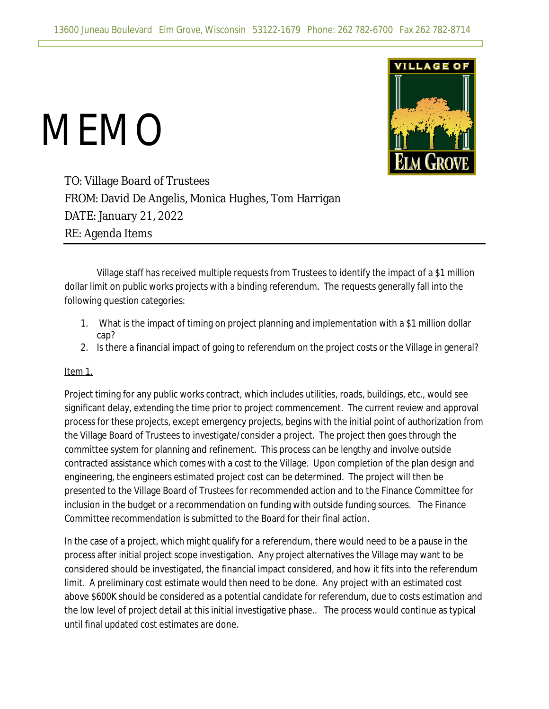## MEMO



TO: Village Board of Trustees FROM: David De Angelis, Monica Hughes, Tom Harrigan DATE: January 21, 2022 RE: Agenda Items

Village staff has received multiple requests from Trustees to identify the impact of a \$1 million dollar limit on public works projects with a binding referendum. The requests generally fall into the following question categories:

- 1. What is the impact of timing on project planning and implementation with a \$1 million dollar cap?
- 2. Is there a financial impact of going to referendum on the project costs or the Village in general?

## Item 1.

Project timing for any public works contract, which includes utilities, roads, buildings, etc., would see significant delay, extending the time prior to project commencement. The current review and approval process for these projects, except emergency projects, begins with the initial point of authorization from the Village Board of Trustees to investigate/consider a project. The project then goes through the committee system for planning and refinement. This process can be lengthy and involve outside contracted assistance which comes with a cost to the Village. Upon completion of the plan design and engineering, the engineers estimated project cost can be determined. The project will then be presented to the Village Board of Trustees for recommended action and to the Finance Committee for inclusion in the budget or a recommendation on funding with outside funding sources. The Finance Committee recommendation is submitted to the Board for their final action.

In the case of a project, which might qualify for a referendum, there would need to be a pause in the process after initial project scope investigation. Any project alternatives the Village may want to be considered should be investigated, the financial impact considered, and how it fits into the referendum limit. A preliminary cost estimate would then need to be done. Any project with an estimated cost above \$600K should be considered as a potential candidate for referendum, due to costs estimation and the low level of project detail at this initial investigative phase.. The process would continue as typical until final updated cost estimates are done.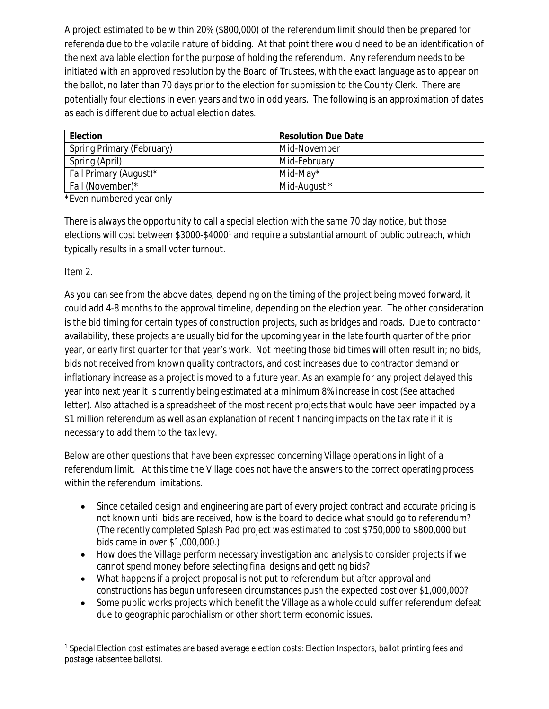A project estimated to be within 20% (\$800,000) of the referendum limit should then be prepared for referenda due to the volatile nature of bidding. At that point there would need to be an identification of the next available election for the purpose of holding the referendum. Any referendum needs to be initiated with an approved resolution by the Board of Trustees, with the exact language as to appear on the ballot, no later than 70 days prior to the election for submission to the County Clerk. There are potentially four elections in even years and two in odd years. The following is an approximation of dates as each is different due to actual election dates.

| <b>Election</b>           | <b>Resolution Due Date</b> |
|---------------------------|----------------------------|
| Spring Primary (February) | Mid-November               |
| Spring (April)            | Mid-February               |
| Fall Primary (August)*    | Mid-May*                   |
| Fall (November)*          | Mid-August *               |

\*Even numbered year only

There is always the opportunity to call a special election with the same 70 day notice, but those elections will cost between \$3000-\$4000<sup>1</sup> and require a substantial amount of public outreach, which typically results in a small voter turnout.

## Item 2.

As you can see from the above dates, depending on the timing of the project being moved forward, it could add 4-8 months to the approval timeline, depending on the election year. The other consideration is the bid timing for certain types of construction projects, such as bridges and roads. Due to contractor availability, these projects are usually bid for the upcoming year in the late fourth quarter of the prior year, or early first quarter for that year's work. Not meeting those bid times will often result in; no bids, bids not received from known quality contractors, and cost increases due to contractor demand or inflationary increase as a project is moved to a future year. As an example for any project delayed this year into next year it is currently being estimated at a minimum 8% increase in cost (See attached letter). Also attached is a spreadsheet of the most recent projects that would have been impacted by a \$1 million referendum as well as an explanation of recent financing impacts on the tax rate if it is necessary to add them to the tax levy.

Below are other questions that have been expressed concerning Village operations in light of a referendum limit. At this time the Village does not have the answers to the correct operating process within the referendum limitations.

- Since detailed design and engineering are part of every project contract and accurate pricing is not known until bids are received, how is the board to decide what should go to referendum? (The recently completed Splash Pad project was estimated to cost \$750,000 to \$800,000 but bids came in over \$1,000,000.)
- How does the Village perform necessary investigation and analysis to consider projects if we cannot spend money before selecting final designs and getting bids?
- What happens if a project proposal is not put to referendum but after approval and constructions has begun unforeseen circumstances push the expected cost over \$1,000,000?
- Some public works projects which benefit the Village as a whole could suffer referendum defeat due to geographic parochialism or other short term economic issues.

<sup>1</sup> Special Election cost estimates are based average election costs: Election Inspectors, ballot printing fees and postage (absentee ballots).